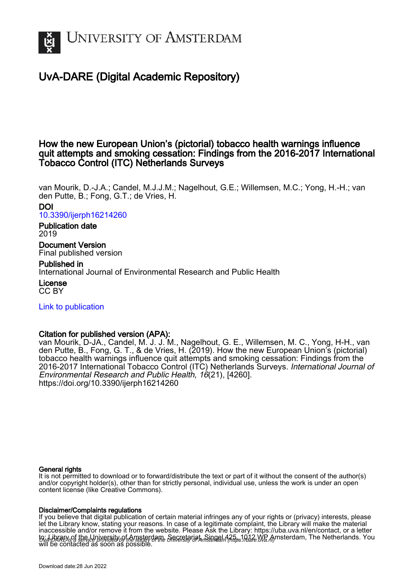

## UvA-DARE (Digital Academic Repository)

## How the new European Union's (pictorial) tobacco health warnings influence quit attempts and smoking cessation: Findings from the 2016-2017 International Tobacco Control (ITC) Netherlands Surveys

van Mourik, D.-J.A.; Candel, M.J.J.M.; Nagelhout, G.E.; Willemsen, M.C.; Yong, H.-H.; van den Putte, B.; Fong, G.T.; de Vries, H.

## DOI

[10.3390/ijerph16214260](https://doi.org/10.3390/ijerph16214260)

#### Publication date 2019

Document Version Final published version

## Published in

International Journal of Environmental Research and Public Health

License CC BY

[Link to publication](https://dare.uva.nl/personal/pure/en/publications/how-the-new-european-unions-pictorial-tobacco-health-warnings-influence-quit-attempts-and-smoking-cessation-findings-from-the-20162017-international-tobacco-control-itc-netherlands-surveys(2fe4595a-0999-48f5-be1a-0f9fe742948e).html)

## Citation for published version (APA):

van Mourik, D-JA., Candel, M. J. J. M., Nagelhout, G. E., Willemsen, M. C., Yong, H-H., van den Putte, B., Fong, G. T., & de Vries, H. (2019). How the new European Union's (pictorial) tobacco health warnings influence quit attempts and smoking cessation: Findings from the 2016-2017 International Tobacco Control (ITC) Netherlands Surveys. International Journal of Environmental Research and Public Health, 16(21), [4260]. <https://doi.org/10.3390/ijerph16214260>

#### General rights

It is not permitted to download or to forward/distribute the text or part of it without the consent of the author(s) and/or copyright holder(s), other than for strictly personal, individual use, unless the work is under an open content license (like Creative Commons).

#### Disclaimer/Complaints regulations

UvA-DARE is a service provided by the library of the University of Amsterdam (http*s*://dare.uva.nl) If you believe that digital publication of certain material infringes any of your rights or (privacy) interests, please let the Library know, stating your reasons. In case of a legitimate complaint, the Library will make the material inaccessible and/or remove it from the website. Please Ask the Library: https://uba.uva.nl/en/contact, or a letter to: Library of the Linixersity of Amsterdam, Secretariat, Singel 425, 1012 WB Amsterdam, The Netherlands. You will be contacted as soon as possible.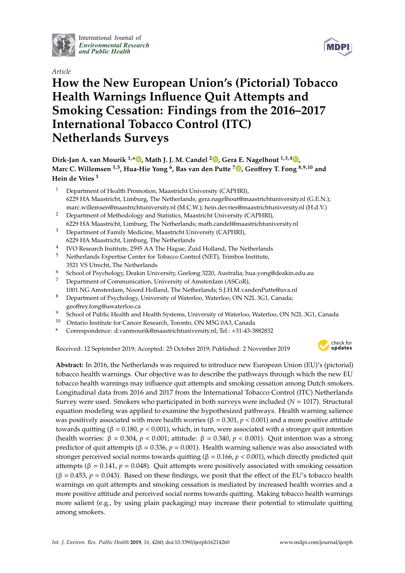

International Journal of *[Environmental Research](http://www.mdpi.com/journal/ijerph) and Public Health*

*Article*



# **How the New European Union's (Pictorial) Tobacco Health Warnings Influence Quit Attempts and Smoking Cessation: Findings from the 2016–2017 International Tobacco Control (ITC) Netherlands Surveys**

**Dirk-Jan A. van Mourik 1,[\\*](https://orcid.org/0000-0002-6403-0300) , Math J. J. M. Candel <sup>2</sup> [,](https://orcid.org/0000-0002-2229-1131) Gera E. Nagelhout 1,3,4 [,](https://orcid.org/0000-0001-7748-5059) Marc C. Willemsen 1,5, Hua-Hie Yong <sup>6</sup> , Bas van den Putte <sup>7</sup> [,](https://orcid.org/0000-0002-3635-6880) Geo**ff**rey T. Fong 8,9,10 and Hein de Vries <sup>1</sup>**

- <sup>1</sup> Department of Health Promotion, Maastricht University (CAPHRI), 6229 HA Maastricht, Limburg, The Netherlands; gera.nagelhout@maastrichtuniversity.nl (G.E.N.); marc.willemsen@maastrichtuniversity.nl (M.C.W.); hein.devries@maastrichtuniversity.nl (H.d.V.)
- <sup>2</sup> Department of Methodology and Statistics, Maastricht University (CAPHRI), 6229 HA Maastricht, Limburg, The Netherlands; math.candel@maastrichtuniversity.nl
- <sup>3</sup> Department of Family Medicine, Maastricht University (CAPHRI), 6229 HA Maastricht, Limburg, The Netherlands
- $^{4}$  IVO Research Institute, 2595 AA The Hague, Zuid Holland, The Netherlands
- <sup>5</sup> Netherlands Expertise Center for Tobacco Control (NET), Trimbos Institute,
- 3521 VS Utrecht, The Netherlands
- <sup>6</sup> School of Psychology, Deakin University, Geelong 3220, Australia; hua.yong@deakin.edu.au
- <sup>7</sup> Department of Communication, University of Amsterdam (ASCoR),
- 1001 NG Amsterdam, Noord Holland, The Netherlands; S.J.H.M.vandenPutte@uva.nl <sup>8</sup> Department of Psychology, University of Waterloo, Waterloo, ON N2L 3G1, Canada;
- geoffrey.fong@uwaterloo.ca
- <sup>9</sup> School of Public Health and Health Systems, University of Waterloo, Waterloo, ON N2L 3G1, Canada<br><sup>10</sup> Ontaria Institute for Canada Tenestal Tenesta ON MEC 0.0.2 Canada
- <sup>10</sup> Ontario Institute for Cancer Research, Toronto, ON M5G 0A3, Canada
- **\*** Correspondence: d.vanmourik@maastrichtuniversity.nl; Tel.: +31-43-3882832

Received: 12 September 2019; Accepted: 25 October 2019; Published: 2 November 2019



**Abstract:** In 2016, the Netherlands was required to introduce new European Union (EU)'s (pictorial) tobacco health warnings. Our objective was to describe the pathways through which the new EU tobacco health warnings may influence quit attempts and smoking cessation among Dutch smokers. Longitudinal data from 2016 and 2017 from the International Tobacco Control (ITC) Netherlands Survey were used. Smokers who participated in both surveys were included (*N* = 1017). Structural equation modeling was applied to examine the hypothesized pathways. Health warning salience was positively associated with more health worries ( $β = 0.301, p < 0.001$ ) and a more positive attitude towards quitting ( $β = 0.180, p < 0.001$ ), which, in turn, were associated with a stronger quit intention (health worries: β = 0.304, *p* < 0.001; attitude: β = 0.340, *p* < 0.001). Quit intention was a strong predictor of quit attempts ( $β = 0.336, p = 0.001$ ). Health warning salience was also associated with stronger perceived social norms towards quitting (β = 0.166, *p* < 0.001), which directly predicted quit attempts (β = 0.141,  $p = 0.048$ ). Quit attempts were positively associated with smoking cessation  $(\beta = 0.453, p = 0.043)$ . Based on these findings, we posit that the effect of the EU's tobacco health warnings on quit attempts and smoking cessation is mediated by increased health worries and a more positive attitude and perceived social norms towards quitting. Making tobacco health warnings more salient (e.g., by using plain packaging) may increase their potential to stimulate quitting among smokers.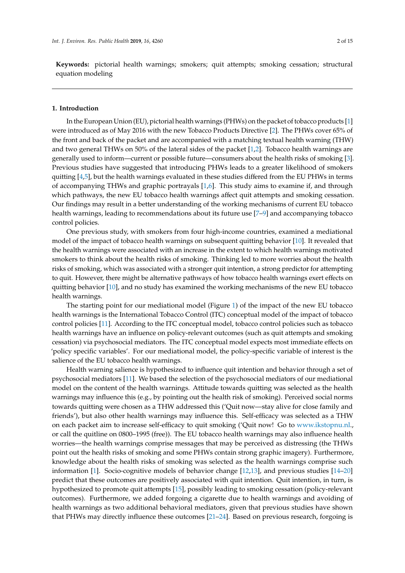**Keywords:** pictorial health warnings; smokers; quit attempts; smoking cessation; structural equation modeling

#### **1. Introduction**

In the European Union (EU), pictorial health warnings (PHWs) on the packet of tobacco products [\[1\]](#page-13-0) were introduced as of May 2016 with the new Tobacco Products Directive [\[2\]](#page-13-1). The PHWs cover 65% of the front and back of the packet and are accompanied with a matching textual health warning (THW) and two general THWs on 50% of the lateral sides of the packet [\[1,](#page-13-0)[2\]](#page-13-1). Tobacco health warnings are generally used to inform—current or possible future—consumers about the health risks of smoking [\[3\]](#page-13-2). Previous studies have suggested that introducing PHWs leads to a greater likelihood of smokers quitting [\[4](#page-13-3)[,5\]](#page-13-4), but the health warnings evaluated in these studies differed from the EU PHWs in terms of accompanying THWs and graphic portrayals [\[1,](#page-13-0)[6\]](#page-13-5). This study aims to examine if, and through which pathways, the new EU tobacco health warnings affect quit attempts and smoking cessation. Our findings may result in a better understanding of the working mechanisms of current EU tobacco health warnings, leading to recommendations about its future use [\[7](#page-13-6)[–9\]](#page-13-7) and accompanying tobacco control policies.

One previous study, with smokers from four high-income countries, examined a mediational model of the impact of tobacco health warnings on subsequent quitting behavior [\[10\]](#page-13-8). It revealed that the health warnings were associated with an increase in the extent to which health warnings motivated smokers to think about the health risks of smoking. Thinking led to more worries about the health risks of smoking, which was associated with a stronger quit intention, a strong predictor for attempting to quit. However, there might be alternative pathways of how tobacco health warnings exert effects on quitting behavior  $[10]$ , and no study has examined the working mechanisms of the new EU tobacco health warnings.

The starting point for our mediational model (Figure [1\)](#page-3-0) of the impact of the new EU tobacco health warnings is the International Tobacco Control (ITC) conceptual model of the impact of tobacco control policies [\[11\]](#page-13-9). According to the ITC conceptual model, tobacco control policies such as tobacco health warnings have an influence on policy-relevant outcomes (such as quit attempts and smoking cessation) via psychosocial mediators. The ITC conceptual model expects most immediate effects on 'policy specific variables'. For our mediational model, the policy-specific variable of interest is the salience of the EU tobacco health warnings.

Health warning salience is hypothesized to influence quit intention and behavior through a set of psychosocial mediators [\[11\]](#page-13-9). We based the selection of the psychosocial mediators of our mediational model on the content of the health warnings. Attitude towards quitting was selected as the health warnings may influence this (e.g., by pointing out the health risk of smoking). Perceived social norms towards quitting were chosen as a THW addressed this ('Quit now—stay alive for close family and friends'), but also other health warnings may influence this. Self-efficacy was selected as a THW on each packet aim to increase self-efficacy to quit smoking ('Quit now! Go to [www.ikstopnu.nl.](www.ikstopnu.nl), or call the quitline on 0800–1995 (free)). The EU tobacco health warnings may also influence health worries—the health warnings comprise messages that may be perceived as distressing (the THWs point out the health risks of smoking and some PHWs contain strong graphic imagery). Furthermore, knowledge about the health risks of smoking was selected as the health warnings comprise such information [\[1\]](#page-13-0). Socio-cognitive models of behavior change [\[12,](#page-13-10)[13\]](#page-13-11), and previous studies [\[14](#page-13-12)[–20\]](#page-14-0) predict that these outcomes are positively associated with quit intention. Quit intention, in turn, is hypothesized to promote quit attempts [\[15\]](#page-13-13), possibly leading to smoking cessation (policy-relevant outcomes). Furthermore, we added forgoing a cigarette due to health warnings and avoiding of health warnings as two additional behavioral mediators, given that previous studies have shown that PHWs may directly influence these outcomes [\[21](#page-14-1)[–24\]](#page-14-2). Based on previous research, forgoing is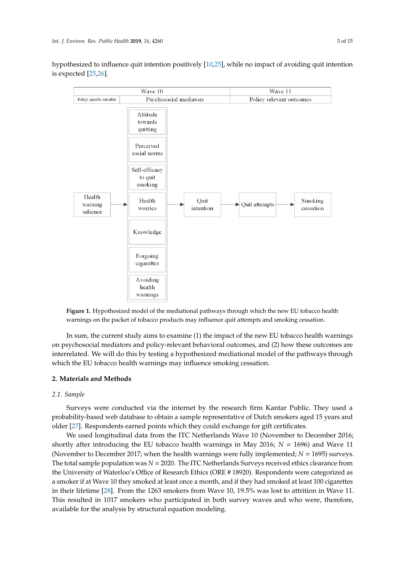hypothesized to influence quit intention positively [\[10,](#page-13-8)[25\]](#page-14-3), while no impact of avoiding quit intention *Int.* is expected [ *J. Environ. Res.* [25,](#page-14-3)*Public* [26\]](#page-14-4).

<span id="page-3-0"></span>

**Figure 1.** Hypothesized model of the mediational pathways through which the new EU tobacco health **Figure 1.** Hypothesized model of the mediational pathways through which the new EU tobacco health warnings on the packet of tobacco products may influence quit attempts and smoking cessation. warnings on the packet of tobacco products may influence quit attempts and smoking cessation.

In sum, the current study aims to examine  $(1)$  the impact of the new EU tobacco health warnings on psychosocial mediators and policy-relevant behavioral outcomes, and (2) how these outcomes are interrelated. We will do this by testing a hypothesized mediational model of the pathways through which the EU tobacco health warnings may influence smoking cessation.

### social norms towards quitting were chosen as a THW addressed this ('Quit now**—**stay alive for close **2. Materials and Methods**  $\frac{1}{\sqrt{2}}$ , but also other health was selected as selected as selected as selected as selected as selected as selected as selected as selected as selected as selected as selected as selected as selected as selected as s

#### a Theorem each parameter self-efficient aim to increase self-efficient smooth  $\Omega$ . Go to  $\Omega$ *2.1. Sample*

www.ikstopnu.nl., or call the quitline on 0800**–**1995 (free)). The EU tobacco health warnings may also Surveys were conducted via the internet by the research firm Kantar Public. They used a probability-based web database to obtain a sample representative of Dutch smokers aged 15 years and older [\[27\]](#page-14-5). Respondents earned points which they could exchange for gift certificates.

We used longitudinal data from the ITC Netherlands Wave 10 (November to December 2016; shortly after introducing the EU tobacco health warnings in May 2016; *N* = 1696) and Wave 11 (November to December 2017; when the health warnings were fully implemented;  $N = 1695$ ) surveys. The total sample population was  $N = 2020$ . The ITC Netherlands Surveys received ethics clearance from the University of Waterloo's Office of Research Ethics (ORE # 18920). Respondents were categorized as a smoker if at Wave 10 they smoked at least once a month, and if they had smoked at least 100 cigarettes in their lifetime [\[28\]](#page-14-6). From the 1263 smokers from Wave 10, 19.5% was lost to attrition in Wave 11.  $\overline{a}$ This resulted in 1017 smokers who participated in both survey waves and who were, therefore, available for the analysis by structural equation modeling.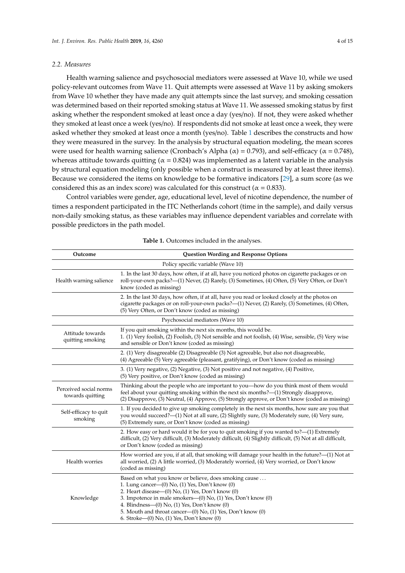#### *2.2. Measures*

Health warning salience and psychosocial mediators were assessed at Wave 10, while we used policy-relevant outcomes from Wave 11. Quit attempts were assessed at Wave 11 by asking smokers from Wave 10 whether they have made any quit attempts since the last survey, and smoking cessation was determined based on their reported smoking status at Wave 11. We assessed smoking status by first asking whether the respondent smoked at least once a day (yes/no). If not, they were asked whether they smoked at least once a week (yes/no). If respondents did not smoke at least once a week, they were asked whether they smoked at least once a month (yes/no). Table [1](#page-4-0) describes the constructs and how they were measured in the survey. In the analysis by structural equation modeling, the mean scores were used for health warning salience (Cronbach's Alpha ( $\alpha$ ) = 0.793), and self-efficacy ( $\alpha$  = 0.748), whereas attitude towards quitting ( $\alpha$  = 0.824) was implemented as a latent variable in the analysis by structural equation modeling (only possible when a construct is measured by at least three items). Because we considered the items on knowledge to be formative indicators [\[29\]](#page-14-7), a sum score (as we considered this as an index score) was calculated for this construct ( $\alpha = 0.833$ ).

Control variables were gender, age, educational level, level of nicotine dependence, the number of times a respondent participated in the ITC Netherlands cohort (time in the sample), and daily versus non-daily smoking status, as these variables may influence dependent variables and correlate with possible predictors in the path model.

<span id="page-4-0"></span>

| Outcome                                    | Question Wording and Response Options                                                                                                                                                                                                                                                                                                                                                                |
|--------------------------------------------|------------------------------------------------------------------------------------------------------------------------------------------------------------------------------------------------------------------------------------------------------------------------------------------------------------------------------------------------------------------------------------------------------|
|                                            | Policy specific variable (Wave 10)                                                                                                                                                                                                                                                                                                                                                                   |
| Health warning salience                    | 1. In the last 30 days, how often, if at all, have you noticed photos on cigarette packages or on<br>roll-your-own packs?—(1) Never, (2) Rarely, (3) Sometimes, (4) Often, (5) Very Often, or Don't<br>know (coded as missing)                                                                                                                                                                       |
|                                            | 2. In the last 30 days, how often, if at all, have you read or looked closely at the photos on<br>cigarette packages or on roll-your-own packs?—(1) Never, (2) Rarely, (3) Sometimes, (4) Often,<br>(5) Very Often, or Don't know (coded as missing)                                                                                                                                                 |
|                                            | Psychosocial mediators (Wave 10)                                                                                                                                                                                                                                                                                                                                                                     |
| Attitude towards<br>quitting smoking       | If you quit smoking within the next six months, this would be.<br>1. (1) Very foolish, (2) Foolish, (3) Not sensible and not foolish, (4) Wise, sensible, (5) Very wise<br>and sensible or Don't know (coded as missing)                                                                                                                                                                             |
|                                            | 2. (1) Very disagreeable (2) Disagreeable (3) Not agreeable, but also not disagreeable,<br>(4) Agreeable (5) Very agreeable (pleasant, gratifying), or Don't know (coded as missing)                                                                                                                                                                                                                 |
|                                            | 3. (1) Very negative, (2) Negative, (3) Not positive and not negative, (4) Positive,<br>(5) Very positive, or Don't know (coded as missing)                                                                                                                                                                                                                                                          |
| Perceived social norms<br>towards quitting | Thinking about the people who are important to you—how do you think most of them would<br>feel about your quitting smoking within the next six months?—(1) Strongly disapprove,<br>(2) Disapprove, (3) Neutral, (4) Approve, (5) Strongly approve, or Don't know (coded as missing)                                                                                                                  |
| Self-efficacy to quit<br>smoking           | 1. If you decided to give up smoking completely in the next six months, how sure are you that<br>you would succeed?—(1) Not at all sure, (2) Slightly sure, (3) Moderately sure, (4) Very sure,<br>(5) Extremely sure, or Don't know (coded as missing)                                                                                                                                              |
|                                            | 2. How easy or hard would it be for you to quit smoking if you wanted to? $-(1)$ Extremely<br>difficult, (2) Very difficult, (3) Moderately difficult, (4) Slightly difficult, (5) Not at all difficult,<br>or Don't know (coded as missing)                                                                                                                                                         |
| Health worries                             | How worried are you, if at all, that smoking will damage your health in the future?—(1) Not at<br>all worried, (2) A little worried, (3) Moderately worried, (4) Very worried, or Don't know<br>(coded as missing)                                                                                                                                                                                   |
| Knowledge                                  | Based on what you know or believe, does smoking cause<br>1. Lung cancer— $(0)$ No, $(1)$ Yes, Don't know $(0)$<br>2. Heart disease—(0) No, (1) Yes, Don't know (0)<br>3. Impotence in male smokers—(0) No, (1) Yes, Don't know (0)<br>4. Blindness—(0) No, (1) Yes, Don't know (0)<br>5. Mouth and throat cancer-(0) No, (1) Yes, Don't know (0)<br>6. Stroke $-(0)$ No, $(1)$ Yes, Don't know $(0)$ |

**Table 1.** Outcomes included in the analyses.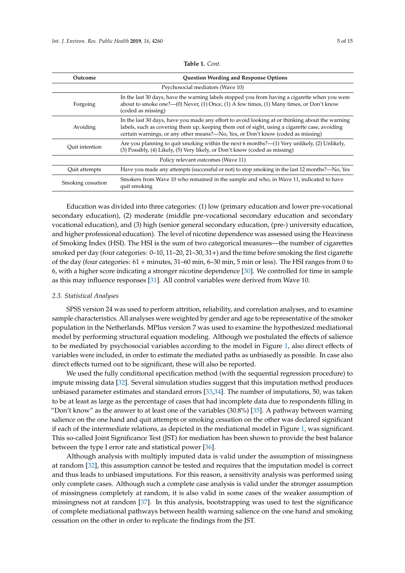| Outcome           | <b>Question Wording and Response Options</b>                                                                                                                                                                                                                                        |
|-------------------|-------------------------------------------------------------------------------------------------------------------------------------------------------------------------------------------------------------------------------------------------------------------------------------|
|                   | Psychosocial mediators (Wave 10)                                                                                                                                                                                                                                                    |
| Forgoing          | In the last 30 days, have the warning labels stopped you from having a cigarette when you were<br>about to smoke one?— $(0)$ Never, $(1)$ Once, $(1)$ A few times, $(1)$ Many times, or Don't know<br>(coded as missing)                                                            |
| Avoiding          | In the last 30 days, have you made any effort to avoid looking at or thinking about the warning<br>labels, such as covering them up, keeping them out of sight, using a cigarette case, avoiding<br>certain warnings, or any other means?—No, Yes, or Don't know (coded as missing) |
| Ouit intention    | Are you planning to quit smoking within the next 6 months?— $(1)$ Very unlikely, $(2)$ Unlikely,<br>(3) Possibly, (4) Likely, (5) Very likely, or Don't know (coded as missing)                                                                                                     |
|                   | Policy relevant outcomes (Wave 11)                                                                                                                                                                                                                                                  |
| Quit attempts     | Have you made any attempts (successful or not) to stop smoking in the last 12 months?—No, Yes                                                                                                                                                                                       |
| Smoking cessation | Smokers from Wave 10 who remained in the sample and who, in Wave 11, indicated to have<br>quit smoking                                                                                                                                                                              |

**Table 1.** *Cont.*

Education was divided into three categories: (1) low (primary education and lower pre-vocational secondary education), (2) moderate (middle pre-vocational secondary education and secondary vocational education), and (3) high (senior general secondary education, (pre-) university education, and higher professional education). The level of nicotine dependence was assessed using the Heaviness of Smoking Index (HSI). The HSI is the sum of two categorical measures—the number of cigarettes smoked per day (four categories:  $0-10$ ,  $11-20$ ,  $21-30$ ,  $31+$ ) and the time before smoking the first cigarette of the day (four categories: 61 + minutes, 31–60 min, 6–30 min, 5 min or less). The HSI ranges from 0 to 6, with a higher score indicating a stronger nicotine dependence [\[30\]](#page-14-8). We controlled for time in sample as this may influence responses [\[31\]](#page-14-9). All control variables were derived from Wave 10.

#### *2.3. Statistical Analyses*

SPSS version 24 was used to perform attrition, reliability, and correlation analyses, and to examine sample characteristics. All analyses were weighted by gender and age to be representative of the smoker population in the Netherlands. MPlus version 7 was used to examine the hypothesized mediational model by performing structural equation modeling. Although we postulated the effects of salience to be mediated by psychosocial variables according to the model in Figure [1,](#page-3-0) also direct effects of variables were included, in order to estimate the mediated paths as unbiasedly as possible. In case also direct effects turned out to be significant, these will also be reported.

We used the fully conditional specification method (with the sequential regression procedure) to impute missing data [\[32\]](#page-14-10). Several simulation studies suggest that this imputation method produces unbiased parameter estimates and standard errors [\[33](#page-14-11)[,34\]](#page-14-12). The number of imputations, 50, was taken to be at least as large as the percentage of cases that had incomplete data due to respondents filling in "Don't know" as the answer to at least one of the variables (30.8%) [\[35\]](#page-14-13). A pathway between warning salience on the one hand and quit attempts or smoking cessation on the other was declared significant if each of the intermediate relations, as depicted in the mediational model in Figure [1,](#page-3-0) was significant. This so-called Joint Significance Test (JST) for mediation has been shown to provide the best balance between the type I error rate and statistical power [\[36\]](#page-15-0).

Although analysis with multiply imputed data is valid under the assumption of missingness at random [\[32\]](#page-14-10), this assumption cannot be tested and requires that the imputation model is correct and thus leads to unbiased imputations. For this reason, a sensitivity analysis was performed using only complete cases. Although such a complete case analysis is valid under the stronger assumption of missingness completely at random, it is also valid in some cases of the weaker assumption of missingness not at random [\[37\]](#page-15-1). In this analysis, bootstrapping was used to test the significance of complete mediational pathways between health warning salience on the one hand and smoking cessation on the other in order to replicate the findings from the JST.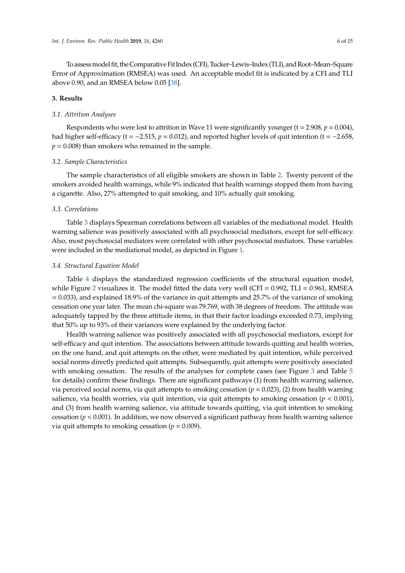To assess model fit, the Comparative Fit Index (CFI), Tucker–Lewis–Index (TLI), and Root–Mean–Square Error of Approximation (RMSEA) was used. An acceptable model fit is indicated by a CFI and TLI above 0.90, and an RMSEA below 0.05 [\[38\]](#page-15-2).

#### **3. Results**

#### *3.1. Attrition Analyses*

Respondents who were lost to attrition in Wave 11 were significantly younger (t = 2.908, *p* = 0.004), had higher self-efficacy (t = −2.515, *p* = 0.012), and reported higher levels of quit intention (t = −2.658,  $p = 0.008$ ) than smokers who remained in the sample.

#### *3.2. Sample Characteristics*

The sample characteristics of all eligible smokers are shown in Table [2.](#page-7-0) Twenty percent of the smokers avoided health warnings, while 9% indicated that health warnings stopped them from having a cigarette. Also, 27% attempted to quit smoking, and 10% actually quit smoking.

#### *3.3. Correlations*

Table [3](#page-8-0) displays Spearman correlations between all variables of the mediational model. Health warning salience was positively associated with all psychosocial mediators, except for self-efficacy. Also, most psychosocial mediators were correlated with other psychosocial mediators. These variables were included in the mediational model, as depicted in Figure [1.](#page-3-0)

#### *3.4. Structural Equation Model*

Table [4](#page-8-1) displays the standardized regression coefficients of the structural equation model, while Figure [2](#page-10-0) visualizes it. The model fitted the data very well (CFI =  $0.992$ , TLI =  $0.961$ , RMSEA  $= 0.033$ ), and explained 18.9% of the variance in quit attempts and 25.7% of the variance of smoking cessation one year later. The mean chi-square was 79.769, with 38 degrees of freedom. The attitude was adequately tapped by the three attitude items, in that their factor loadings exceeded 0.73, implying that 50% up to 93% of their variances were explained by the underlying factor.

Health warning salience was positively associated with all psychosocial mediators, except for self-efficacy and quit intention. The associations between attitude towards quitting and health worries, on the one hand, and quit attempts on the other, were mediated by quit intention, while perceived social norms directly predicted quit attempts. Subsequently, quit attempts were positively associated with smoking cessation. The results of the analyses for complete cases (see Figure [3](#page-10-1) and Table [5](#page-9-0) for details) confirm these findings. There are significant pathways (1) from health warning salience, via perceived social norms, via quit attempts to smoking cessation  $(p = 0.023)$ , (2) from health warning salience, via health worries, via quit intention, via quit attempts to smoking cessation ( $p < 0.001$ ), and (3) from health warning salience, via attitude towards quitting, via quit intention to smoking cessation ( $p < 0.001$ ). In addition, we now observed a significant pathway from health warning salience via quit attempts to smoking cessation ( $p = 0.009$ ).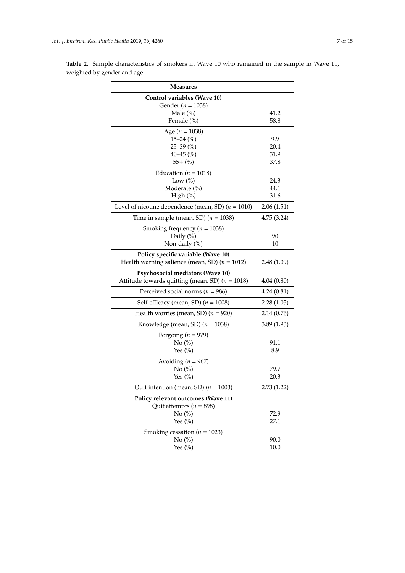| <b>Measures</b>                                        |            |
|--------------------------------------------------------|------------|
| Control variables (Wave 10)                            |            |
| Gender ( $n = 1038$ )                                  |            |
| Male $(\%)$                                            | 41.2       |
| Female $(\% )$                                         | 58.8       |
| Age ( $n = 1038$ )                                     |            |
| $15 - 24$ (%)                                          | 9.9        |
| $25 - 39$ (%)                                          | 20.4       |
| $40-45$ (%)                                            | 31.9       |
| $55+$ (%)                                              | 37.8       |
| Education ( $n = 1018$ )                               |            |
| Low $(\%)$                                             | 24.3       |
| Moderate $(\%)$                                        | 44.1       |
| High $(\%)$                                            | 31.6       |
| Level of nicotine dependence (mean, SD) ( $n = 1010$ ) | 2.06(1.51) |
| Time in sample (mean, SD) ( $n = 1038$ )               | 4.75(3.24) |
| Smoking frequency ( $n = 1038$ )                       |            |
| Daily (%)                                              | 90         |
| Non-daily (%)                                          | 10         |
| Policy specific variable (Wave 10)                     |            |
| Health warning salience (mean, SD) ( $n = 1012$ )      | 2.48(1.09) |
| Psychosocial mediators (Wave 10)                       |            |
| Attitude towards quitting (mean, SD) ( $n = 1018$ )    | 4.04(0.80) |
| Perceived social norms ( $n = 986$ )                   | 4.24(0.81) |
| Self-efficacy (mean, SD) ( $n = 1008$ )                | 2.28(1.05) |
| Health worries (mean, SD) $(n = 920)$                  | 2.14(0.76) |
| Knowledge (mean, SD) $(n = 1038)$                      | 3.89(1.93) |
| Forgoing ( $n = 979$ )                                 |            |
| No (%)                                                 | 91.1       |
| Yes $(\% )$                                            | 8.9        |
| Avoiding ( $n = 967$ )                                 |            |
| No (%)                                                 | 79.7       |
| Yes $(\% )$                                            | 20.3       |
| Quit intention (mean, SD) ( $n = 1003$ )               | 2.73(1.22) |
| Policy relevant outcomes (Wave 11)                     |            |
| Quit attempts ( $n = 898$ )                            |            |
| No (%)                                                 | 72.9       |
| Yes $(\% )$                                            | 27.1       |
| Smoking cessation ( $n = 1023$ )                       |            |
| No (%)                                                 | 90.0       |
| Yes $(\% )$                                            | 10.0       |

<span id="page-7-0"></span>**Table 2.** Sample characteristics of smokers in Wave 10 who remained in the sample in Wave 11, weighted by gender and age.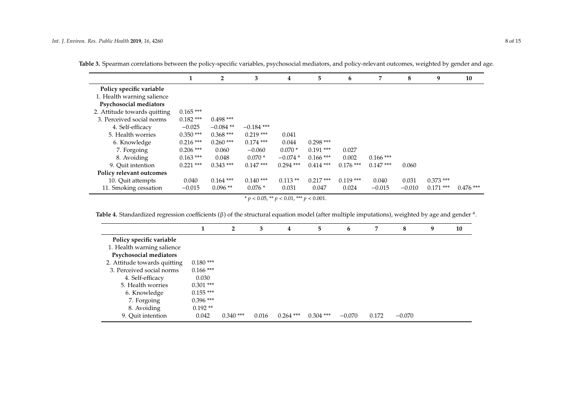|                              |             | $\overline{2}$ | 3            | 4           | 5           | 6           | 7           | 8        | 9           | 10          |
|------------------------------|-------------|----------------|--------------|-------------|-------------|-------------|-------------|----------|-------------|-------------|
| Policy specific variable     |             |                |              |             |             |             |             |          |             |             |
| 1. Health warning salience   |             |                |              |             |             |             |             |          |             |             |
| Psychosocial mediators       |             |                |              |             |             |             |             |          |             |             |
| 2. Attitude towards quitting | $0.165***$  |                |              |             |             |             |             |          |             |             |
| 3. Perceived social norms    | $0.182$ *** | $0.498$ ***    |              |             |             |             |             |          |             |             |
| 4. Self-efficacy             | $-0.025$    | $-0.084$ **    | $-0.184$ *** |             |             |             |             |          |             |             |
| 5. Health worries            | $0.350$ *** | $0.368$ ***    | $0.219***$   | 0.041       |             |             |             |          |             |             |
| 6. Knowledge                 | $0.216$ *** | $0.260$ ***    | $0.174$ ***  | 0.044       | $0.298***$  |             |             |          |             |             |
| 7. Forgoing                  | $0.206$ *** | 0.060          | $-0.060$     | $0.070*$    | $0.191$ *** | 0.027       |             |          |             |             |
| 8. Avoiding                  | $0.163$ *** | 0.048          | $0.070*$     | $-0.074*$   | $0.166$ *** | 0.002       | $0.166$ *** |          |             |             |
| 9. Ouit intention            | $0.221$ *** | $0.343$ ***    | $0.147***$   | $0.294$ *** | $0.414$ *** | $0.176$ *** | $0.147***$  | 0.060    |             |             |
| Policy relevant outcomes     |             |                |              |             |             |             |             |          |             |             |
| 10. Quit attempts            | 0.040       | $0.164$ ***    | $0.140$ ***  | $0.113**$   | $0.217***$  | $0.119***$  | 0.040       | 0.031    | $0.373$ *** |             |
| 11. Smoking cessation        | $-0.015$    | $0.096**$      | $0.076*$     | 0.031       | 0.047       | 0.024       | $-0.015$    | $-0.010$ | $0.171$ *** | $0.476$ *** |

**Table 3.** Spearman correlations between the policy-specific variables, psychosocial mediators, and policy-relevant outcomes, weighted by gender and age.

<span id="page-8-0"></span>Table 4. Standardized regression coefficients (β) of the structural equation model (after multiple imputations), weighted by age and gender <sup>a</sup>.

<span id="page-8-1"></span>

|                              |             | $\overline{2}$ | 3     | 4           | 5           | 6        | 7     | 8        | 9 |
|------------------------------|-------------|----------------|-------|-------------|-------------|----------|-------|----------|---|
| Policy specific variable     |             |                |       |             |             |          |       |          |   |
| 1. Health warning salience   |             |                |       |             |             |          |       |          |   |
| Psychosocial mediators       |             |                |       |             |             |          |       |          |   |
| 2. Attitude towards quitting | $0.180$ *** |                |       |             |             |          |       |          |   |
| 3. Perceived social norms    | $0.166$ *** |                |       |             |             |          |       |          |   |
| 4. Self-efficacy             | 0.030       |                |       |             |             |          |       |          |   |
| 5. Health worries            | $0.301$ *** |                |       |             |             |          |       |          |   |
| 6. Knowledge                 | $0.155$ *** |                |       |             |             |          |       |          |   |
| 7. Forgoing                  | $0.396$ *** |                |       |             |             |          |       |          |   |
| 8. Avoiding                  | $0.192**$   |                |       |             |             |          |       |          |   |
| 9. Ouit intention            | 0.042       | $0.340$ ***    | 0.016 | $0.264$ *** | $0.304$ *** | $-0.070$ | 0.172 | $-0.070$ |   |
|                              |             |                |       |             |             |          |       |          |   |

 $* p < 0.05, ** p < 0.01, ** p < 0.001.$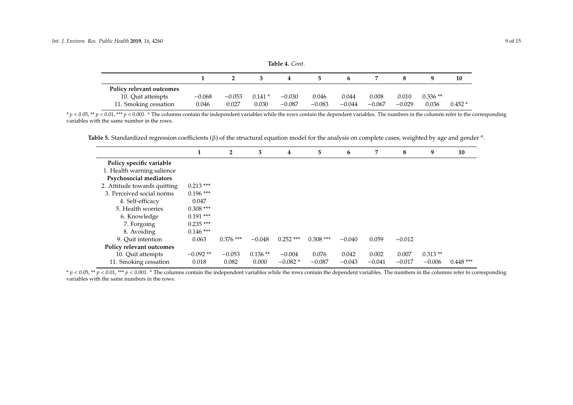|                          |          |          |          | $1$ avit $\pm$ . $\cup$ $\mu$ . |          |          |          |          |           |          |
|--------------------------|----------|----------|----------|---------------------------------|----------|----------|----------|----------|-----------|----------|
|                          |          |          |          |                                 |          |          |          |          |           | 10       |
| Policy relevant outcomes |          |          |          |                                 |          |          |          |          |           |          |
| 10. Quit attempts        | $-0.068$ | $-0.053$ | $0.141*$ | $-0.030$                        | 0.046    | 0.044    | 0.008    | 0.010    | $0.336**$ |          |
| 11. Smoking cessation    | 0.046    | 0.027    | 0.030    | $-0.087$                        | $-0.083$ | $-0.044$ | $-0.067$ | $-0.029$ | 0.036     | $0.452*$ |

 $p < 0.05$ , \*\*  $p < 0.01$ , \*\*\*  $p < 0.001$ . a The columns contain the independent variables while the rows contain the dependent variables. The numbers in the columns refer to the corresponding variables with the same number in the rows.

Table 5. Standardized regression coefficients (β) of the structural equation model for the analysis on complete cases, weighted by age and gender <sup>a</sup>.

|                              |             | $\overline{2}$ | 3         | 4           | 5           | 6        | 7        | 8        | 9         | 10          |
|------------------------------|-------------|----------------|-----------|-------------|-------------|----------|----------|----------|-----------|-------------|
| Policy specific variable     |             |                |           |             |             |          |          |          |           |             |
| 1. Health warning salience   |             |                |           |             |             |          |          |          |           |             |
| Psychosocial mediators       |             |                |           |             |             |          |          |          |           |             |
| 2. Attitude towards quitting | $0.213$ *** |                |           |             |             |          |          |          |           |             |
| 3. Perceived social norms    | $0.196$ *** |                |           |             |             |          |          |          |           |             |
| 4. Self-efficacy             | 0.047       |                |           |             |             |          |          |          |           |             |
| 5. Health worries            | $0.308$ *** |                |           |             |             |          |          |          |           |             |
| 6. Knowledge                 | $0.191$ *** |                |           |             |             |          |          |          |           |             |
| 7. Forgoing                  | $0.235$ *** |                |           |             |             |          |          |          |           |             |
| 8. Avoiding                  | $0.146$ *** |                |           |             |             |          |          |          |           |             |
| 9. Ouit intention            | 0.063       | $0.376$ ***    | $-0.048$  | $0.252$ *** | $0.308$ *** | $-0.040$ | 0.059    | $-0.012$ |           |             |
| Policy relevant outcomes     |             |                |           |             |             |          |          |          |           |             |
| 10. Quit attempts            | $-0.092**$  | $-0.053$       | $0.136**$ | $-0.004$    | 0.076       | 0.042    | 0.002    | 0.007    | $0.313**$ |             |
| 11. Smoking cessation        | 0.018       | 0.082          | 0.000     | $-0.082*$   | $-0.087$    | $-0.043$ | $-0.041$ | $-0.017$ | $-0.006$  | $0.448$ *** |

<span id="page-9-0"></span> $* p < 0.05$ ,  $* \frac{p}{\sqrt{p}}$  < 0.01,  $** p < 0.001$ . <sup>a</sup> The columns contain the independent variables while the rows contain the dependent variables. The numbers in the columns refer to corresponding variables with the same numbers in the rows.

**Table 4.** *Cont.*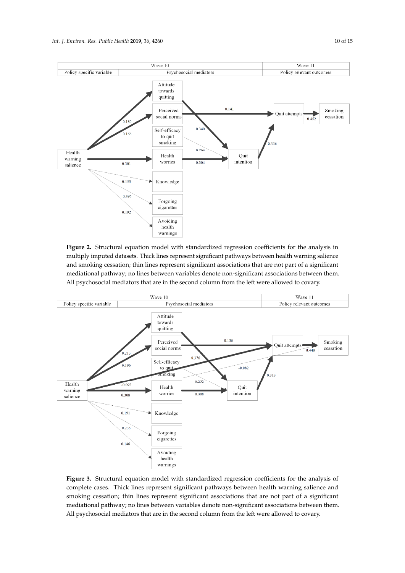<span id="page-10-0"></span>

Figure 2. Structural equation model with standardized regression coefficients for the analysis in multiply imputed datasets. Thick lines represent significant pathways between health warning salience and smoking cessation; thin lines represent significant associations that are not part of a significant mediational pathway; no lines between variables denote non-significant associations between them. All psychosocial mediators that are in the second column from the left were allowed to covary.

<span id="page-10-1"></span>

complete cases. Thick lines represent significant pathways between health warning salience and smoking cessation; thin lines represent significant associations that are not part of a significant mediational pathway; no lines between variables denote non-significant associations between them. **Figure 3.** Structural equation model with standardized regression coefficients for the analysis of **Figure 3.** Structural equation model with standardized regression coefficients for the analysis of All psychosocial mediators that are in the second column from the left were allowed to covary.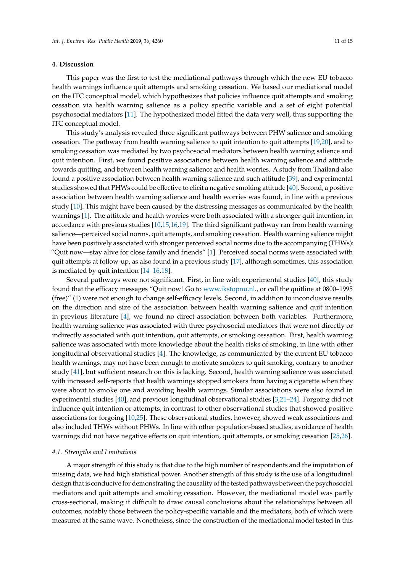#### **4. Discussion**

This paper was the first to test the mediational pathways through which the new EU tobacco health warnings influence quit attempts and smoking cessation. We based our mediational model on the ITC conceptual model, which hypothesizes that policies influence quit attempts and smoking cessation via health warning salience as a policy specific variable and a set of eight potential psychosocial mediators [\[11\]](#page-13-9). The hypothesized model fitted the data very well, thus supporting the ITC conceptual model.

This study's analysis revealed three significant pathways between PHW salience and smoking cessation. The pathway from health warning salience to quit intention to quit attempts [\[19,](#page-14-14)[20\]](#page-14-0), and to smoking cessation was mediated by two psychosocial mediators between health warning salience and quit intention. First, we found positive associations between health warning salience and attitude towards quitting, and between health warning salience and health worries. A study from Thailand also found a positive association between health warning salience and such attitude [\[39\]](#page-15-3), and experimental studies showed that PHWs could be effective to elicit a negative smoking attitude [\[40\]](#page-15-4). Second, a positive association between health warning salience and health worries was found, in line with a previous study [\[10\]](#page-13-8). This might have been caused by the distressing messages as communicated by the health warnings [\[1\]](#page-13-0). The attitude and health worries were both associated with a stronger quit intention, in accordance with previous studies [\[10,](#page-13-8)[15](#page-13-13)[,16](#page-14-15)[,19\]](#page-14-14). The third significant pathway ran from health warning salience—perceived social norms, quit attempts, and smoking cessation. Health warning salience might have been positively associated with stronger perceived social norms due to the accompanying (THWs): "Quit now—stay alive for close family and friends" [\[1\]](#page-13-0). Perceived social norms were associated with quit attempts at follow-up, as also found in a previous study [\[17\]](#page-14-16), although sometimes, this association is mediated by quit intention [\[14–](#page-13-12)[16,](#page-14-15)[18\]](#page-14-17).

Several pathways were not significant. First, in line with experimental studies [\[40\]](#page-15-4), this study found that the efficacy messages "Quit now! Go to [www.ikstopnu.nl.](www.ikstopnu.nl), or call the quitline at 0800–1995 (free)" (1) were not enough to change self-efficacy levels. Second, in addition to inconclusive results on the direction and size of the association between health warning salience and quit intention in previous literature [\[4\]](#page-13-3), we found no direct association between both variables. Furthermore, health warning salience was associated with three psychosocial mediators that were not directly or indirectly associated with quit intention, quit attempts, or smoking cessation. First, health warning salience was associated with more knowledge about the health risks of smoking, in line with other longitudinal observational studies [\[4\]](#page-13-3). The knowledge, as communicated by the current EU tobacco health warnings, may not have been enough to motivate smokers to quit smoking, contrary to another study [\[41\]](#page-15-5), but sufficient research on this is lacking. Second, health warning salience was associated with increased self-reports that health warnings stopped smokers from having a cigarette when they were about to smoke one and avoiding health warnings. Similar associations were also found in experimental studies [\[40\]](#page-15-4), and previous longitudinal observational studies [\[3,](#page-13-2)[21](#page-14-1)[–24\]](#page-14-2). Forgoing did not influence quit intention or attempts, in contrast to other observational studies that showed positive associations for forgoing [\[10,](#page-13-8)[25\]](#page-14-3). These observational studies, however, showed weak associations and also included THWs without PHWs. In line with other population-based studies, avoidance of health warnings did not have negative effects on quit intention, quit attempts, or smoking cessation [\[25](#page-14-3)[,26\]](#page-14-4).

#### *4.1. Strengths and Limitations*

A major strength of this study is that due to the high number of respondents and the imputation of missing data, we had high statistical power. Another strength of this study is the use of a longitudinal design that is conducive for demonstrating the causality of the tested pathways between the psychosocial mediators and quit attempts and smoking cessation. However, the mediational model was partly cross-sectional, making it difficult to draw causal conclusions about the relationships between all outcomes, notably those between the policy-specific variable and the mediators, both of which were measured at the same wave. Nonetheless, since the construction of the mediational model tested in this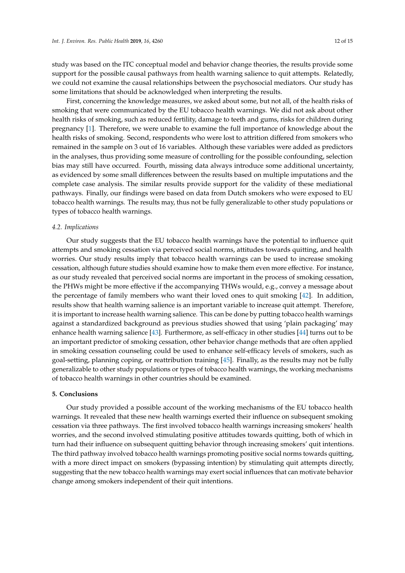study was based on the ITC conceptual model and behavior change theories, the results provide some support for the possible causal pathways from health warning salience to quit attempts. Relatedly, we could not examine the causal relationships between the psychosocial mediators. Our study has some limitations that should be acknowledged when interpreting the results.

First, concerning the knowledge measures, we asked about some, but not all, of the health risks of smoking that were communicated by the EU tobacco health warnings. We did not ask about other health risks of smoking, such as reduced fertility, damage to teeth and gums, risks for children during pregnancy [\[1\]](#page-13-0). Therefore, we were unable to examine the full importance of knowledge about the health risks of smoking. Second, respondents who were lost to attrition differed from smokers who remained in the sample on 3 out of 16 variables. Although these variables were added as predictors in the analyses, thus providing some measure of controlling for the possible confounding, selection bias may still have occurred. Fourth, missing data always introduce some additional uncertainty, as evidenced by some small differences between the results based on multiple imputations and the complete case analysis. The similar results provide support for the validity of these mediational pathways. Finally, our findings were based on data from Dutch smokers who were exposed to EU tobacco health warnings. The results may, thus not be fully generalizable to other study populations or types of tobacco health warnings.

#### *4.2. Implications*

Our study suggests that the EU tobacco health warnings have the potential to influence quit attempts and smoking cessation via perceived social norms, attitudes towards quitting, and health worries. Our study results imply that tobacco health warnings can be used to increase smoking cessation, although future studies should examine how to make them even more effective. For instance, as our study revealed that perceived social norms are important in the process of smoking cessation, the PHWs might be more effective if the accompanying THWs would, e.g., convey a message about the percentage of family members who want their loved ones to quit smoking [\[42\]](#page-15-6). In addition, results show that health warning salience is an important variable to increase quit attempt. Therefore, it is important to increase health warning salience. This can be done by putting tobacco health warnings against a standardized background as previous studies showed that using 'plain packaging' may enhance health warning salience [\[43\]](#page-15-7). Furthermore, as self-efficacy in other studies [\[44\]](#page-15-8) turns out to be an important predictor of smoking cessation, other behavior change methods that are often applied in smoking cessation counseling could be used to enhance self-efficacy levels of smokers, such as goal-setting, planning coping, or reattribution training [\[45\]](#page-15-9). Finally, as the results may not be fully generalizable to other study populations or types of tobacco health warnings, the working mechanisms of tobacco health warnings in other countries should be examined.

#### **5. Conclusions**

Our study provided a possible account of the working mechanisms of the EU tobacco health warnings. It revealed that these new health warnings exerted their influence on subsequent smoking cessation via three pathways. The first involved tobacco health warnings increasing smokers' health worries, and the second involved stimulating positive attitudes towards quitting, both of which in turn had their influence on subsequent quitting behavior through increasing smokers' quit intentions. The third pathway involved tobacco health warnings promoting positive social norms towards quitting, with a more direct impact on smokers (bypassing intention) by stimulating quit attempts directly, suggesting that the new tobacco health warnings may exert social influences that can motivate behavior change among smokers independent of their quit intentions.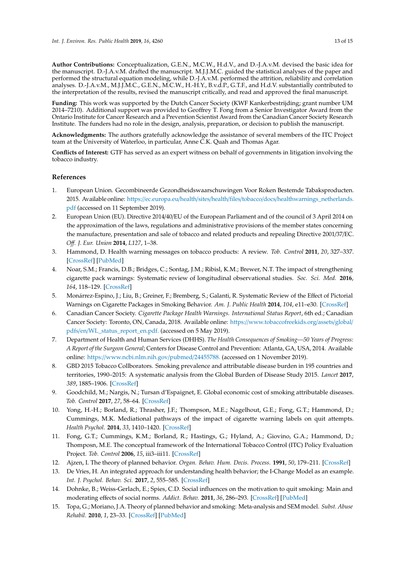**Author Contributions:** Conceptualization, G.E.N., M.C.W., H.d.V., and D.-J.A.v.M. devised the basic idea for the manuscript. D.-J.A.v.M. drafted the manuscript. M.J.J.M.C. guided the statistical analyses of the paper and performed the structural equation modeling, while D.-J.A.v.M. performed the attrition, reliability and correlation analyses. D.-J.A.v.M., M.J.J.M.C., G.E.N., M.C.W., H.-H.Y., B.v.d.P., G.T.F., and H.d.V. substantially contributed to the interpretation of the results, revised the manuscript critically, and read and approved the final manuscript.

**Funding:** This work was supported by the Dutch Cancer Society (KWF Kankerbestrijding; grant number UM 2014–7210). Additional support was provided to Geoffrey T. Fong from a Senior Investigator Award from the Ontario Institute for Cancer Research and a Prevention Scientist Award from the Canadian Cancer Society Research Institute. The funders had no role in the design, analysis, preparation, or decision to publish the manuscript.

**Acknowledgments:** The authors gratefully acknowledge the assistance of several members of the ITC Project team at the University of Waterloo, in particular, Anne C.K. Quah and Thomas Agar.

**Conflicts of Interest:** GTF has served as an expert witness on behalf of governments in litigation involving the tobacco industry.

#### **References**

- <span id="page-13-0"></span>1. European Union. Gecombineerde Gezondheidswaarschuwingen Voor Roken Bestemde Tabaksproducten. 2015. Available online: https://ec.europa.eu/health/sites/health/files/tobacco/docs/[healthwarnings\\_netherlands.](https://ec.europa.eu/health/sites/health/files/tobacco/docs/healthwarnings_netherlands.pdf) [pdf](https://ec.europa.eu/health/sites/health/files/tobacco/docs/healthwarnings_netherlands.pdf) (accessed on 11 September 2019).
- <span id="page-13-1"></span>2. European Union (EU). Directive 2014/40/EU of the European Parliament and of the council of 3 April 2014 on the approximation of the laws, regulations and administrative provisions of the member states concerning the manufacture, presentation and sale of tobacco and related products and repealing Directive 2001/37/EC. *O*ff*. J. Eur. Union* **2014**, *L127*, 1–38.
- <span id="page-13-2"></span>3. Hammond, D. Health warning messages on tobacco products: A review. *Tob. Control* **2011**, *20*, 327–337. [\[CrossRef\]](http://dx.doi.org/10.1136/tc.2010.037630) [\[PubMed\]](http://www.ncbi.nlm.nih.gov/pubmed/21606180)
- <span id="page-13-3"></span>4. Noar, S.M.; Francis, D.B.; Bridges, C.; Sontag, J.M.; Ribisl, K.M.; Brewer, N.T. The impact of strengthening cigarette pack warnings: Systematic review of longitudinal observational studies. *Soc. Sci. Med.* **2016**, *164*, 118–129. [\[CrossRef\]](http://dx.doi.org/10.1016/j.socscimed.2016.06.011)
- <span id="page-13-4"></span>5. Monárrez-Espino, J.; Liu, B.; Greiner, F.; Bremberg, S.; Galanti, R. Systematic Review of the Effect of Pictorial Warnings on Cigarette Packages in Smoking Behavior. *Am. J. Public Health* **2014**, *104*, e11–e30. [\[CrossRef\]](http://dx.doi.org/10.2105/AJPH.2014.302129)
- <span id="page-13-5"></span>6. Canadian Cancer Society. *Cigarette Package Health Warnings. International Status Report*, 6th ed.; Canadian Cancer Society: Toronto, ON, Canada, 2018. Available online: https://[www.tobaccofreekids.org](https://www.tobaccofreekids.org/assets/global/pdfs/en/WL_status_report_en.pdf.)/assets/global/ pdfs/en/[WL\\_status\\_report\\_en.pdf.](https://www.tobaccofreekids.org/assets/global/pdfs/en/WL_status_report_en.pdf.) (accessed on 5 May 2019).
- <span id="page-13-6"></span>7. Department of Health and Human Services (DHHS). *The Health Consequences of Smoking—50 Years of Progress: A Report of the Surgeon General*; Centers for Disease Control and Prevention: Atlanta, GA, USA, 2014. Available online: https://[www.ncbi.nlm.nih.gov](https://www.ncbi.nlm.nih.gov/pubmed/24455788.)/pubmed/24455788. (accessed on 1 November 2019).
- 8. GBD 2015 Tobacco Collborators. Smoking prevalence and attributable disease burden in 195 countries and territories, 1990–2015: A systematic analysis from the Global Burden of Disease Study 2015. *Lancet* **2017**, *389*, 1885–1906. [\[CrossRef\]](http://dx.doi.org/10.1016/S0140-6736(17)30819-X)
- <span id="page-13-7"></span>9. Goodchild, M.; Nargis, N.; Tursan d'Espaignet, E. Global economic cost of smoking attributable diseases. *Tob. Control* **2017**, *27*, 58–64. [\[CrossRef\]](http://dx.doi.org/10.1136/tobaccocontrol-2016-053305)
- <span id="page-13-8"></span>10. Yong, H.-H.; Borland, R.; Thrasher, J.F.; Thompson, M.E.; Nagelhout, G.E.; Fong, G.T.; Hammond, D.; Cummings, M.K. Mediational pathways of the impact of cigarette warning labels on quit attempts. *Health Psychol.* **2014**, *33*, 1410–1420. [\[CrossRef\]](http://dx.doi.org/10.1037/hea0000056)
- <span id="page-13-9"></span>11. Fong, G.T.; Cummings, K.M.; Borland, R.; Hastings, G.; Hyland, A.; Giovino, G.A.; Hammond, D.; Thomposn, M.E. The conceptual framework of the International Tobacco Control (ITC) Policy Evaluation Project. *Tob. Control* **2006**, *15*, iii3–iii11. [\[CrossRef\]](http://dx.doi.org/10.1136/tc.2005.015438)
- <span id="page-13-10"></span>12. Ajzen, I. The theory of planned behavior. *Organ. Behav. Hum. Decis. Process.* **1991**, *50*, 179–211. [\[CrossRef\]](http://dx.doi.org/10.1016/0749-5978(91)90020-T)
- <span id="page-13-11"></span>13. De Vries, H. An integrated approach for understanding health behavior; the I-Change Model as an example. *Int. J. Psychol. Behav. Sci.* **2017**, *2*, 555–585. [\[CrossRef\]](http://dx.doi.org/10.19080/PBSIJ.2017.02.555585)
- <span id="page-13-12"></span>14. Dohnke, B.; Weiss-Gerlach, E.; Spies, C.D. Social influences on the motivation to quit smoking: Main and moderating effects of social norms. *Addict. Behav.* **2011**, *36*, 286–293. [\[CrossRef\]](http://dx.doi.org/10.1016/j.addbeh.2010.11.001) [\[PubMed\]](http://www.ncbi.nlm.nih.gov/pubmed/21183283)
- <span id="page-13-13"></span>15. Topa, G.; Moriano, J.A. Theory of planned behavior and smoking: Meta-analysis and SEM model. *Subst. Abuse Rehabil.* **2010**, *1*, 23–33. [\[CrossRef\]](http://dx.doi.org/10.2147/SAR.S15168) [\[PubMed\]](http://www.ncbi.nlm.nih.gov/pubmed/24474850)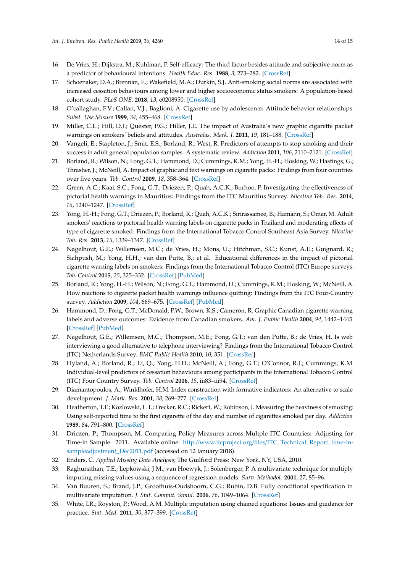- <span id="page-14-15"></span>16. De Vries, H.; Dijkstra, M.; Kuhlman, P. Self-efficacy: The third factor besides attitude and subjective norm as a predictor of behavioural intentions. *Health Educ. Res.* **1988**, *3*, 273–282. [\[CrossRef\]](http://dx.doi.org/10.1093/her/3.3.273)
- <span id="page-14-16"></span>17. Schoenaker, D.A.; Brennan, E.; Wakefield, M.A.; Durkin, S.J. Anti-smoking social norms are associated with increased cessation behaviours among lower and higher socioeconomic status smokers: A population-based cohort study. *PLoS ONE.* **2018**, *13*, e0208950. [\[CrossRef\]](http://dx.doi.org/10.1371/journal.pone.0208950)
- <span id="page-14-17"></span>18. O'callaghan, F.V.; Callan, V.J.; Baglioni, A. Cigarette use by adolescents: Attitude behavior relationships. *Subst. Use Misuse* **1999**, *34*, 455–468. [\[CrossRef\]](http://dx.doi.org/10.3109/10826089909035656)
- <span id="page-14-14"></span>19. Miller, C.L.; Hill, D.J.; Quester, P.G.; Hiller, J.E. The impact of Australia's new graphic cigarette packet warnings on smokers' beliefs and attitudes. *Australas. Mark. J.* **2011**, *19*, 181–188. [\[CrossRef\]](http://dx.doi.org/10.1016/j.ausmj.2011.05.004)
- <span id="page-14-0"></span>20. Vangeli, E.; Stapleton, J.; Smit, E.S.; Borland, R.; West, R. Predictors of attempts to stop smoking and their success in adult general population samples: A systematic review. *Addiction* **2011**, *106*, 2110–2121. [\[CrossRef\]](http://dx.doi.org/10.1111/j.1360-0443.2011.03565.x)
- <span id="page-14-1"></span>21. Borland, R.; Wilson, N.; Fong, G.T.; Hammond, D.; Cummings, K.M.; Yong, H.-H.; Hosking, W.; Hastings, G.; Thrasher, J.; McNeill, A. Impact of graphic and text warnings on cigarette packs: Findings from four countries over five years. *Tob. Control* **2009**, *18*, 358–364. [\[CrossRef\]](http://dx.doi.org/10.1136/tc.2008.028043)
- 22. Green, A.C.; Kaai, S.C.; Fong, G.T.; Driezen, P.; Quah, A.C.K.; Burhoo, P. Investigating the effectiveness of pictorial health warnings in Mauritius: Findings from the ITC Mauritius Survey. *Nicotine Tob. Res.* **2014**, *16*, 1240–1247. [\[CrossRef\]](http://dx.doi.org/10.1093/ntr/ntu062)
- 23. Yong, H.-H.; Fong, G.T.; Driezen, P.; Borland, R.; Quah, A.C.K.; Sirirassamee, B.; Hamann, S.; Omar, M. Adult smokers' reactions to pictorial health warning labels on cigarette packs in Thailand and moderating effects of type of cigarette smoked: Findings from the International Tobacco Control Southeast Asia Survey. *Nicotine Tob. Res.* **2013**, *15*, 1339–1347. [\[CrossRef\]](http://dx.doi.org/10.1093/ntr/nts241)
- <span id="page-14-2"></span>24. Nagelhout, G.E.; Willemsen, M.C.; de Vries, H.; Mons, U.; Hitchman, S.C.; Kunst, A.E.; Guignard, R.; Siahpush, M.; Yong, H.H.; van den Putte, B.; et al. Educational differences in the impact of pictorial cigarette warning labels on smokers: Findings from the International Tobacco Control (ITC) Europe surveys. *Tob. Control* **2015**, *25*, 325–332. [\[CrossRef\]](http://dx.doi.org/10.1136/tobaccocontrol-2014-051971) [\[PubMed\]](http://www.ncbi.nlm.nih.gov/pubmed/25873647)
- <span id="page-14-3"></span>25. Borland, R.; Yong, H.-H.; Wilson, N.; Fong, G.T.; Hammond, D.; Cummings, K.M.; Hosking, W.; McNeill, A. How reactions to cigarette packet health warnings influence quitting: Findings from the ITC Four-Country survey. *Addiction* **2009**, *104*, 669–675. [\[CrossRef\]](http://dx.doi.org/10.1111/j.1360-0443.2009.02508.x) [\[PubMed\]](http://www.ncbi.nlm.nih.gov/pubmed/19215595)
- <span id="page-14-4"></span>26. Hammond, D.; Fong, G.T.; McDonald, P.W.; Brown, K.S.; Cameron, R. Graphic Canadian cigarette warning labels and adverse outcomes: Evidence from Canadian smokers. *Am. J. Public Health* **2004**, *94*, 1442–1445. [\[CrossRef\]](http://dx.doi.org/10.2105/AJPH.94.8.1442) [\[PubMed\]](http://www.ncbi.nlm.nih.gov/pubmed/15284057)
- <span id="page-14-5"></span>27. Nagelhout, G.E.; Willemsen, M.C.; Thompson, M.E.; Fong, G.T.; van den Putte, B.; de Vries, H. Is web interviewing a good alternative to telephone interviewing? Findings from the International Tobacco Control (ITC) Netherlands Survey. *BMC Public Health* **2010**, *10*, 351. [\[CrossRef\]](http://dx.doi.org/10.1186/1471-2458-10-351)
- <span id="page-14-6"></span>28. Hyland, A.; Borland, R.; Li, Q.; Yong, H.H.; McNeill, A.; Fong, G.T.; O'Connor, R.J.; Cummings, K.M. Individual-level predictors of cessation behaviours among participants in the International Tobacco Control (ITC) Four Country Survey. *Tob. Control* **2006**, *15*, iii83–iii94. [\[CrossRef\]](http://dx.doi.org/10.1136/tc.2005.013516)
- <span id="page-14-7"></span>29. Diamantopoulos, A.; Winklhofer, H.M. Index construction with formative indicators: An alternative to scale development. *J. Mark. Res.* **2001**, *38*, 269–277. [\[CrossRef\]](http://dx.doi.org/10.1509/jmkr.38.2.269.18845)
- <span id="page-14-8"></span>30. Heatherton, T.F.; Kozlowski, L.T.; Frecker, R.C.; Rickert, W.; Robinson, J. Measuring the heaviness of smoking: Using self-reported time to the first cigarette of the day and number of cigarettes smoked per day. *Addiction* **1989**, *84*, 791–800. [\[CrossRef\]](http://dx.doi.org/10.1111/j.1360-0443.1989.tb03059.x)
- <span id="page-14-9"></span>31. Driezen, P.; Thompson, M. Comparing Policy Measures across Multple ITC Countries: Adjusting for Time-in Sample. 2011. Available online: http://www.itcproject.org/files/[ITC\\_Technical\\_Report\\_time-in](http://www.itcproject.org/files/ITC_Technical_Report_time-in-sample adjustment_Dec2011.pdf)[sampleadjustment\\_Dec2011.pdf](http://www.itcproject.org/files/ITC_Technical_Report_time-in-sample adjustment_Dec2011.pdf) (accessed on 12 January 2018).
- <span id="page-14-10"></span>32. Enders, C. *Applied Missing Data Analysis*; The Guilford Press: New York, NY, USA, 2010.
- <span id="page-14-11"></span>33. Raghunathan, T.E.; Lepkowski, J.M.; van Hoewyk, J.; Solenberger, P. A multivariate technique for multiply imputing missing values using a sequence of regression models. *Surv. Methodol.* **2001**, *27*, 85–96.
- <span id="page-14-12"></span>34. Van Buuren, S.; Brand, J.P.; Groothuis-Oudshoorn, C.G.; Rubin, D.B. Fully conditional specification in multivariate imputation. *J. Stat. Comput. Simul.* **2006**, *76*, 1049–1064. [\[CrossRef\]](http://dx.doi.org/10.1080/10629360600810434)
- <span id="page-14-13"></span>35. White, I.R.; Royston, P.; Wood, A.M. Multiple imputation using chained equations: Issues and guidance for practice. *Stat. Med.* **2011**, *30*, 377–399. [\[CrossRef\]](http://dx.doi.org/10.1002/sim.4067)